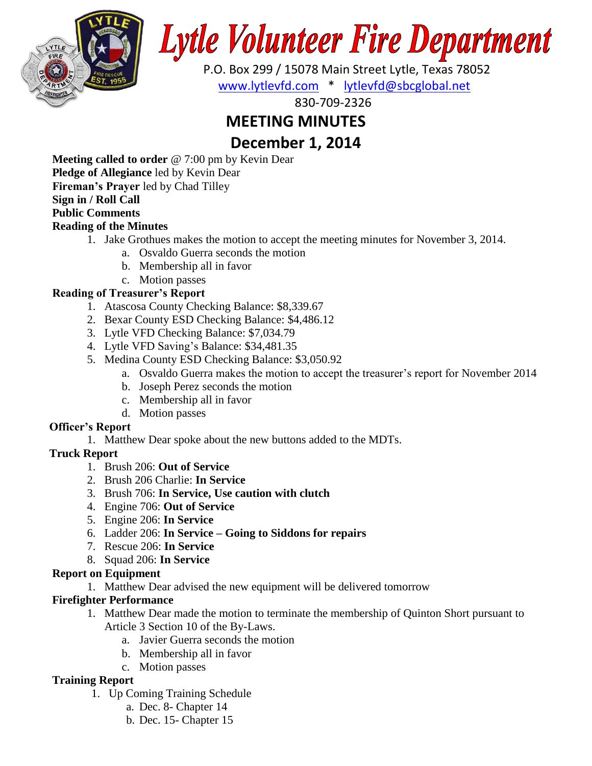

# Lytle Volunteer Fire Department

 P.O. Box 299 / 15078 Main Street Lytle, Texas 78052 [www.lytlevfd.com](http://www.lytlevfd.com/) \* [lytlevfd@sbcglobal.net](mailto:lytlevfd@sbcglobal.net)

830-709-2326

## **MEETING MINUTES**

## **December 1, 2014**

**Meeting called to order** @ 7:00 pm by Kevin Dear **Pledge of Allegiance** led by Kevin Dear **Fireman's Prayer** led by Chad Tilley **Sign in / Roll Call Public Comments**

#### **Reading of the Minutes**

- 1. Jake Grothues makes the motion to accept the meeting minutes for November 3, 2014.
	- a. Osvaldo Guerra seconds the motion
	- b. Membership all in favor
	- c. Motion passes

#### **Reading of Treasurer's Report**

- 1. Atascosa County Checking Balance: \$8,339.67
- 2. Bexar County ESD Checking Balance: \$4,486.12
- 3. Lytle VFD Checking Balance: \$7,034.79
- 4. Lytle VFD Saving's Balance: \$34,481.35
- 5. Medina County ESD Checking Balance: \$3,050.92
	- a. Osvaldo Guerra makes the motion to accept the treasurer's report for November 2014
	- b. Joseph Perez seconds the motion
	- c. Membership all in favor
	- d. Motion passes

#### **Officer's Report**

1. Matthew Dear spoke about the new buttons added to the MDTs.

#### **Truck Report**

- 1. Brush 206: **Out of Service**
- 2. Brush 206 Charlie: **In Service**
- 3. Brush 706: **In Service, Use caution with clutch**
- 4. Engine 706: **Out of Service**
- 5. Engine 206: **In Service**
- 6. Ladder 206: **In Service – Going to Siddons for repairs**
- 7. Rescue 206: **In Service**
- 8. Squad 206: **In Service**

#### **Report on Equipment**

1. Matthew Dear advised the new equipment will be delivered tomorrow

#### **Firefighter Performance**

- 1. Matthew Dear made the motion to terminate the membership of Quinton Short pursuant to Article 3 Section 10 of the By-Laws.
	- a. Javier Guerra seconds the motion
	- b. Membership all in favor
	- c. Motion passes

#### **Training Report**

- 1. Up Coming Training Schedule
	- a. Dec. 8- Chapter 14
	- b. Dec. 15- Chapter 15